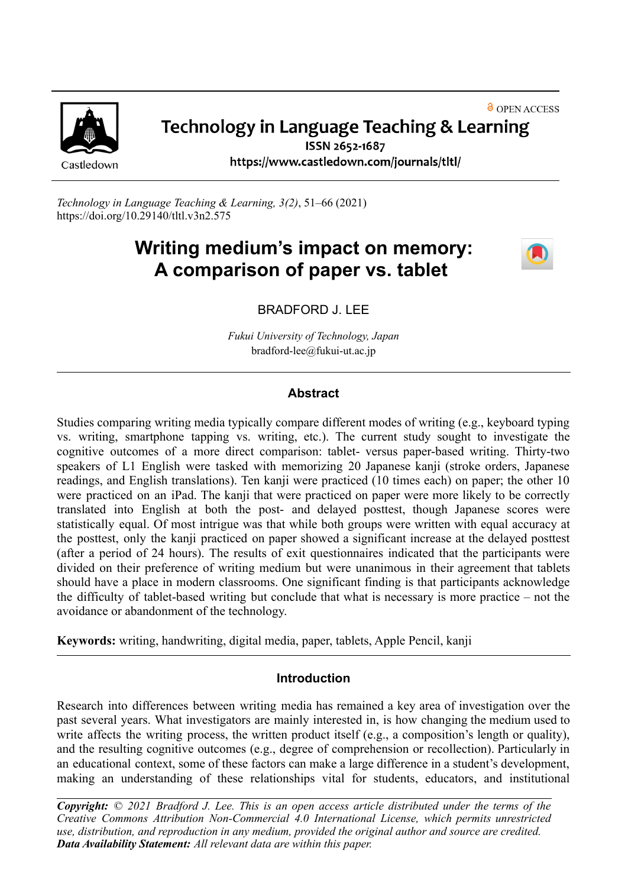

## **& OPEN ACCESS** Technology in Language Teaching & Learning

Castledown

ISSN 2652-1687 https://www.castledown.com/journals/tltl/

*Technology in Language Teaching & Learning, 3(2)*, 51–66 (2021) <https://doi.org/10.29140/tltl.v3n2.575>

# **Writing medium's impact on memory: A comparison of paper vs. tablet**



BRADFORD J. LEE

*Fukui University of Technology, Japan* bradford-lee@fukui-ut.ac.jp

## **Abstract**

Studies comparing writing media typically compare different modes of writing (e.g., keyboard typing vs. writing, smartphone tapping vs. writing, etc.). The current study sought to investigate the cognitive outcomes of a more direct comparison: tablet- versus paper-based writing. Thirty-two speakers of L1 English were tasked with memorizing 20 Japanese kanji (stroke orders, Japanese readings, and English translations). Ten kanji were practiced (10 times each) on paper; the other 10 were practiced on an iPad. The kanji that were practiced on paper were more likely to be correctly translated into English at both the post- and delayed posttest, though Japanese scores were statistically equal. Of most intrigue was that while both groups were written with equal accuracy at the posttest, only the kanji practiced on paper showed a significant increase at the delayed posttest (after a period of 24 hours). The results of exit questionnaires indicated that the participants were divided on their preference of writing medium but were unanimous in their agreement that tablets should have a place in modern classrooms. One significant finding is that participants acknowledge the difficulty of tablet-based writing but conclude that what is necessary is more practice – not the avoidance or abandonment of the technology.

**Keywords:** writing, handwriting, digital media, paper, tablets, Apple Pencil, kanji

## **Introduction**

Research into differences between writing media has remained a key area of investigation over the past several years. What investigators are mainly interested in, is how changing the medium used to write affects the writing process, the written product itself (e.g., a composition's length or quality), and the resulting cognitive outcomes (e.g., degree of comprehension or recollection). Particularly in an educational context, some of these factors can make a large difference in a student's development, making an understanding of these relationships vital for students, educators, and institutional

**Copyright:**  $\odot$  2021 Bradford J. Lee. This is an open access article distributed under the terms of the *Creative Commons Attribution [Non-Commercial](http://creativecommons.org/licenses/by-nc-nd/4.0) 4.0 International License, which permits unrestricted use, distribution, and reproduction in any medium, provided the original author and source are credited. Data Availability Statement: All relevant data are within this paper.*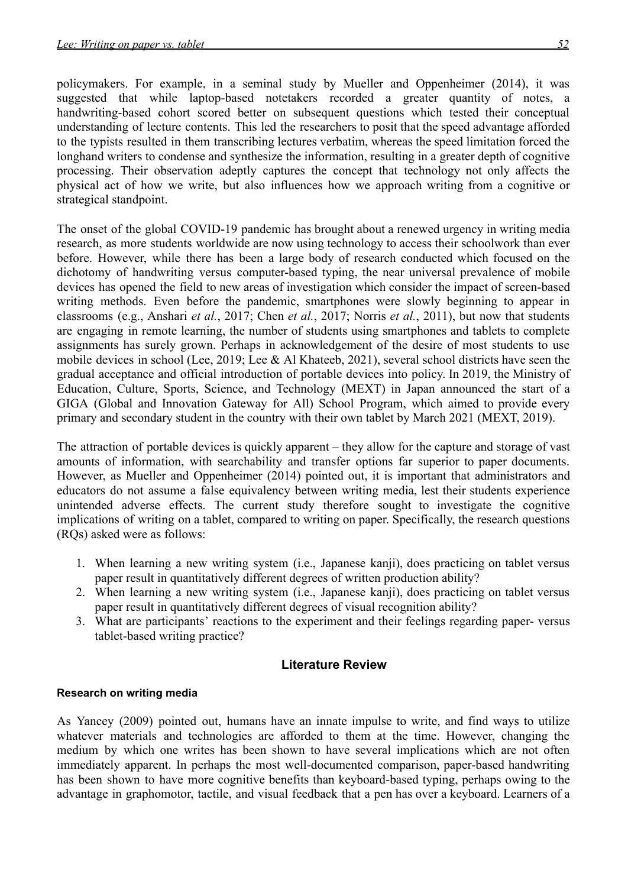longhand writers to condense and synthesize the information, resulting in a greater depth of cognitive processing. Their observation adeptly captures the concept that technology not only affects the physical act of how we write, but also influences how we approach writing from a cognitive or strategical standpoint.

The onset of the global COVID-19 pandemic has brought about a renewed urgency in writing media research, as more students worldwide are now using technology to access their schoolwork than ever before. However, while there has been a large body of research conducted which focused on the dichotomy of handwriting versus computer-based typing, the near universal prevalence of mobile devices has opened the field to new areas of investigation which consider the impact of screen-based writing methods. Even before the pandemic, smartphones were slowly beginning to appear in classrooms (e.g., Anshari *et al.*, 2017; Chen *et al.*, 2017; Norris *et al.*, 2011), but now that students are engaging in remote learning, the number of students using smartphones and tablets to complete assignments has surely grown. Perhaps in acknowledgement of the desire of most students to use mobile devices in school (Lee, 2019; Lee & Al Khateeb, 2021), several school districts have seen the gradual acceptance and official introduction of portable devices into policy. In 2019, the Ministry of Education, Culture, Sports, Science, and Technology (MEXT) in Japan announced the start of a GIGA (Global and Innovation Gateway for All) School Program, which aimed to provide every primary and secondary student in the country with their own tablet by March 2021 (MEXT, 2019).

The attraction of portable devices is quickly apparent – they allow for the capture and storage of vast amounts of information, with searchability and transfer options far superior to paper documents. However, as Mueller and Oppenheimer (2014) pointed out, it is important that administrators and educators do not assume a false equivalency between writing media, lest their students experience unintended adverse effects. The current study therefore sought to investigate the cognitive implications of writing on a tablet, compared to writing on paper. Specifically, the research questions (RQs) asked were as follows:

- 1. When learning a new writing system (i.e., Japanese kanji), does practicing on tablet versus paper result in quantitatively different degrees of written production ability?
- 2. When learning a new writing system (i.e., Japanese kanji), does practicing on tablet versus paper result in quantitatively different degrees of visual recognition ability?
- 3. What are participants' reactions to the experiment and their feelings regarding paper- versus tablet-based writing practice?

## **Literature Review**

## **Research on writing media**

As Yancey (2009) pointed out, humans have an innate impulse to write, and find ways to utilize whatever materials and technologies are afforded to them at the time. However, changing the medium by which one writes has been shown to have several implications which are not often immediately apparent. In perhaps the most well-documented comparison, paper-based handwriting has been shown to have more cognitive benefits than keyboard-based typing, perhaps owing to the advantage in graphomotor, tactile, and visual feedback that a pen has over a keyboard. Learners of a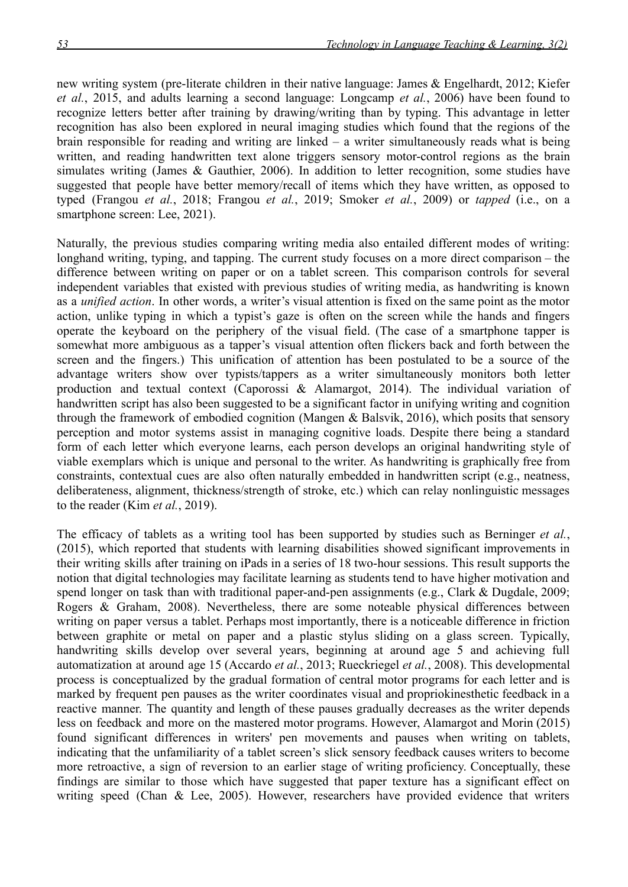new writing system (pre-literate children in their native language: James & Engelhardt, 2012; Kiefer *et al.*, 2015, and adults learning a second language: Longcamp *et al.*, 2006) have been found to recognize letters better after training by drawing/writing than by typing. This advantage in letter recognition has also been explored in neural imaging studies which found that the regions of the brain responsible for reading and writing are linked – a writer simultaneously reads what is being written, and reading handwritten text alone triggers sensory motor-control regions as the brain simulates writing (James & Gauthier, 2006). In addition to letter recognition, some studies have suggested that people have better memory/recall of items which they have written, as opposed to typed (Frangou *et al.*, 2018; Frangou *et al.*, 2019; Smoker *et al.*, 2009) or *tapped* (i.e., on a smartphone screen: Lee, 2021).

Naturally, the previous studies comparing writing media also entailed different modes of writing: longhand writing, typing, and tapping. The current study focuses on a more direct comparison – the difference between writing on paper or on a tablet screen. This comparison controls for several independent variables that existed with previous studies of writing media, as handwriting is known as a *unified action*. In other words, a writer's visual attention is fixed on the same point as the motor action, unlike typing in which a typist's gaze is often on the screen while the hands and fingers operate the keyboard on the periphery of the visual field. (The case of a smartphone tapper is somewhat more ambiguous as a tapper's visual attention often flickers back and forth between the screen and the fingers.) This unification of attention has been postulated to be a source of the advantage writers show over typists/tappers as a writer simultaneously monitors both letter production and textual context (Caporossi & Alamargot, 2014). The individual variation of handwritten script has also been suggested to be a significant factor in unifying writing and cognition through the framework of embodied cognition (Mangen & Balsvik, 2016), which posits that sensory perception and motor systems assist in managing cognitive loads. Despite there being a standard form of each letter which everyone learns, each person develops an original handwriting style of viable exemplars which is unique and personal to the writer. As handwriting is graphically free from constraints, contextual cues are also often naturally embedded in handwritten script (e.g., neatness, deliberateness, alignment, thickness/strength of stroke, etc.) which can relay nonlinguistic messages to the reader (Kim *et al.*, 2019).

The efficacy of tablets as a writing tool has been supported by studies such as Berninger *et al.*, (2015), which reported that students with learning disabilities showed significant improvements in their writing skills after training on iPads in a series of 18 two-hour sessions. This result supports the notion that digital technologies may facilitate learning as students tend to have higher motivation and spend longer on task than with traditional paper-and-pen assignments (e.g., Clark & Dugdale, 2009; Rogers & Graham, 2008). Nevertheless, there are some noteable physical differences between writing on paper versus a tablet. Perhaps most importantly, there is a noticeable difference in friction between graphite or metal on paper and a plastic stylus sliding on a glass screen. Typically, handwriting skills develop over several years, beginning at around age 5 and achieving full automatization at around age 15 (Accardo *et al.*, 2013; Rueckriegel *et al.*, 2008). This developmental process is conceptualized by the gradual formation of central motor programs for each letter and is marked by frequent pen pauses as the writer coordinates visual and propriokinesthetic feedback in a reactive manner. The quantity and length of these pauses gradually decreases as the writer depends less on feedback and more on the mastered motor programs. However, Alamargot and Morin (2015) found significant differences in writers' pen movements and pauses when writing on tablets, indicating that the unfamiliarity of a tablet screen's slick sensory feedback causes writers to become more retroactive, a sign of reversion to an earlier stage of writing proficiency. Conceptually, these findings are similar to those which have suggested that paper texture has a significant effect on writing speed (Chan & Lee, 2005). However, researchers have provided evidence that writers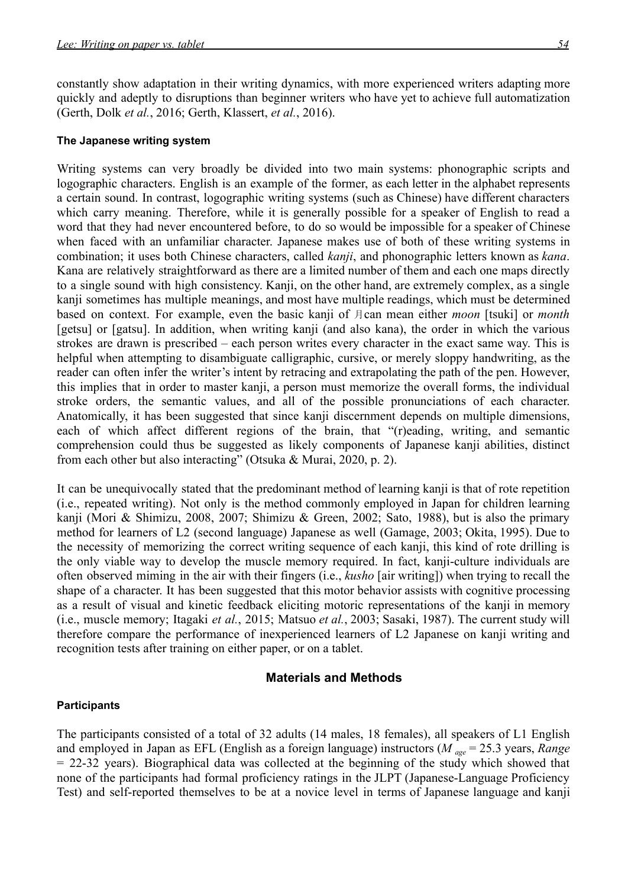constantly show adaptation in their writing dynamics, with more experienced writers adapting more quickly and adeptly to disruptions than beginner writers who have yet to achieve full automatization (Gerth, Dolk *et al.*, 2016; Gerth, Klassert, *et al.*, 2016).

#### **The Japanese writing system**

Writing systems can very broadly be divided into two main systems: phonographic scripts and logographic characters. English is an example of the former, as each letter in the alphabet represents a certain sound. In contrast, logographic writing systems (such as Chinese) have different characters which carry meaning. Therefore, while it is generally possible for a speaker of English to read a word that they had never encountered before, to do so would be impossible for a speaker of Chinese when faced with an unfamiliar character. Japanese makes use of both of these writing systems in combination; it uses both Chinese characters, called *kanji*, and phonographic letters known as *kana*. Kana are relatively straightforward as there are a limited number of them and each one maps directly to a single sound with high consistency. Kanji, on the other hand, are extremely complex, as a single kanji sometimes has multiple meanings, and most have multiple readings, which must be determined based on context. For example, even the basic kanji of 月can mean either *moon* [tsuki] or *month* [getsu] or [gatsu]. In addition, when writing kanji (and also kana), the order in which the various strokes are drawn is prescribed – each person writes every character in the exact same way. This is helpful when attempting to disambiguate calligraphic, cursive, or merely sloppy handwriting, as the reader can often infer the writer's intent by retracing and extrapolating the path of the pen. However, this implies that in order to master kanji, a person must memorize the overall forms, the individual stroke orders, the semantic values, and all of the possible pronunciations of each character. Anatomically, it has been suggested that since kanji discernment depends on multiple dimensions, each of which affect different regions of the brain, that "(r)eading, writing, and semantic comprehension could thus be suggested as likely components of Japanese kanji abilities, distinct from each other but also interacting" (Otsuka & Murai, 2020, p. 2).

It can be unequivocally stated that the predominant method of learning kanji is that of rote repetition (i.e., repeated writing). Not only is the method commonly employed in Japan for children learning kanji (Mori & Shimizu, 2008, 2007; Shimizu & Green, 2002; Sato, 1988), but is also the primary method for learners of L2 (second language) Japanese as well (Gamage, 2003; Okita, 1995). Due to the necessity of memorizing the correct writing sequence of each kanji, this kind of rote drilling is the only viable way to develop the muscle memory required. In fact, kanji-culture individuals are often observed miming in the air with their fingers (i.e., *kusho* [air writing]) when trying to recall the shape of a character. It has been suggested that this motor behavior assists with cognitive processing as a result of visual and kinetic feedback eliciting motoric representations of the kanji in memory (i.e., muscle memory; Itagaki *et al.*, 2015; Matsuo *et al.*, 2003; Sasaki, 1987). The current study will therefore compare the performance of inexperienced learners of L2 Japanese on kanji writing and recognition tests after training on either paper, or on a tablet.

#### **Materials and Methods**

#### **Participants**

The participants consisted of a total of 32 adults (14 males, 18 females), all speakers of L1 English and employed in Japan as EFL (English as a foreign language) instructors (*M age* = 25.3 years, *Range* = 22-32 years). Biographical data was collected at the beginning of the study which showed that none of the participants had formal proficiency ratings in the JLPT (Japanese-Language Proficiency Test) and self-reported themselves to be at a novice level in terms of Japanese language and kanji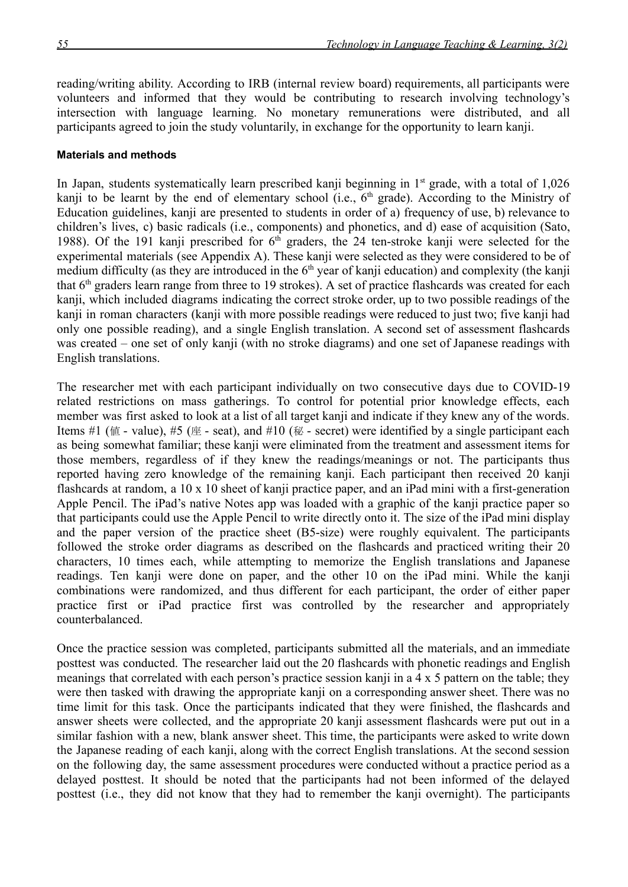reading/writing ability. According to IRB (internal review board) requirements, all participants were volunteers and informed that they would be contributing to research involving technology's intersection with language learning. No monetary remunerations were distributed, and all participants agreed to join the study voluntarily, in exchange for the opportunity to learn kanji.

#### **Materials and methods**

In Japan, students systematically learn prescribed kanji beginning in  $1<sup>st</sup>$  grade, with a total of  $1,026$ kanji to be learnt by the end of elementary school (i.e., 6<sup>th</sup> grade). According to the Ministry of Education guidelines, kanji are presented to students in order of a) frequency of use, b) relevance to children's lives, c) basic radicals (i.e., components) and phonetics, and d) ease of acquisition (Sato, 1988). Of the 191 kanji prescribed for 6<sup>th</sup> graders, the 24 ten-stroke kanji were selected for the experimental materials (see Appendix A). These kanji were selected as they were considered to be of medium difficulty (as they are introduced in the  $6<sup>th</sup>$  year of kanji education) and complexity (the kanji that  $6<sup>th</sup>$  graders learn range from three to 19 strokes). A set of practice flashcards was created for each kanji, which included diagrams indicating the correct stroke order, up to two possible readings of the kanji in roman characters (kanji with more possible readings were reduced to just two; five kanji had only one possible reading), and a single English translation. A second set of assessment flashcards was created – one set of only kanji (with no stroke diagrams) and one set of Japanese readings with English translations.

The researcher met with each participant individually on two consecutive days due to COVID-19 related restrictions on mass gatherings. To control for potential prior knowledge effects, each member was first asked to look at a list of all target kanji and indicate if they knew any of the words. Items #1 (値 - value), #5 (座 - seat), and #10 (秘 - secret) were identified by a single participant each as being somewhat familiar; these kanji were eliminated from the treatment and assessment items for those members, regardless of if they knew the readings/meanings or not. The participants thus reported having zero knowledge of the remaining kanji. Each participant then received 20 kanji flashcards at random, a 10 x 10 sheet of kanji practice paper, and an iPad mini with a first-generation Apple Pencil. The iPad's native Notes app was loaded with a graphic of the kanji practice paper so that participants could use the Apple Pencil to write directly onto it. The size of the iPad mini display and the paper version of the practice sheet (B5-size) were roughly equivalent. The participants followed the stroke order diagrams as described on the flashcards and practiced writing their 20 characters, 10 times each, while attempting to memorize the English translations and Japanese readings. Ten kanji were done on paper, and the other 10 on the iPad mini. While the kanji combinations were randomized, and thus different for each participant, the order of either paper practice first or iPad practice first was controlled by the researcher and appropriately counterbalanced.

Once the practice session was completed, participants submitted all the materials, and an immediate posttest was conducted. The researcher laid out the 20 flashcards with phonetic readings and English meanings that correlated with each person's practice session kanji in a 4 x 5 pattern on the table; they were then tasked with drawing the appropriate kanji on a corresponding answer sheet. There was no time limit for this task. Once the participants indicated that they were finished, the flashcards and answer sheets were collected, and the appropriate 20 kanji assessment flashcards were put out in a similar fashion with a new, blank answer sheet. This time, the participants were asked to write down the Japanese reading of each kanji, along with the correct English translations. At the second session on the following day, the same assessment procedures were conducted without a practice period as a delayed posttest. It should be noted that the participants had not been informed of the delayed posttest (i.e., they did not know that they had to remember the kanji overnight). The participants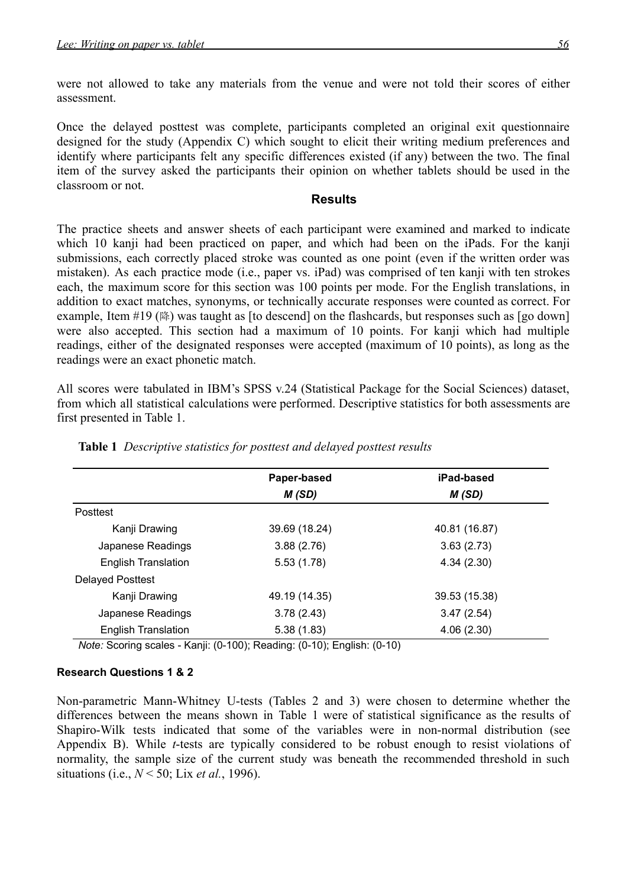were not allowed to take any materials from the venue and were not told their scores of either assessment.

Once the delayed posttest was complete, participants completed an original exit questionnaire designed for the study (Appendix C) which sought to elicit their writing medium preferences and identify where participants felt any specific differences existed (if any) between the two. The final item of the survey asked the participants their opinion on whether tablets should be used in the classroom or not.

#### **Results**

The practice sheets and answer sheets of each participant were examined and marked to indicate which 10 kanji had been practiced on paper, and which had been on the iPads. For the kanji submissions, each correctly placed stroke was counted as one point (even if the written order was mistaken). As each practice mode (i.e., paper vs. iPad) was comprised of ten kanji with ten strokes each, the maximum score for this section was 100 points per mode. For the English translations, in addition to exact matches, synonyms, or technically accurate responses were counted as correct. For example, Item #19 (降) was taught as [to descend] on the flashcards, but responses such as [go down] were also accepted. This section had a maximum of 10 points. For kanji which had multiple readings, either of the designated responses were accepted (maximum of 10 points), as long as the readings were an exact phonetic match.

All scores were tabulated in IBM's SPSS v.24 (Statistical Package for the Social Sciences) dataset, from which all statistical calculations were performed. Descriptive statistics for both assessments are first presented in Table 1.

|                            | Paper-based   | iPad-based    |
|----------------------------|---------------|---------------|
|                            | M(SD)         | M(SD)         |
| Posttest                   |               |               |
| Kanji Drawing              | 39.69 (18.24) | 40.81 (16.87) |
| Japanese Readings          | 3.88(2.76)    | 3.63(2.73)    |
| <b>English Translation</b> | 5.53(1.78)    | 4.34(2.30)    |
| <b>Delayed Posttest</b>    |               |               |
| Kanji Drawing              | 49.19 (14.35) | 39.53 (15.38) |
| Japanese Readings          | 3.78(2.43)    | 3.47(2.54)    |
| <b>English Translation</b> | 5.38(1.83)    | 4.06(2.30)    |

**Table 1** *Descriptive statistics for posttest and delayed posttest results*

*Note:* Scoring scales - Kanji: (0-100); Reading: (0-10); English: (0-10)

#### **Research Questions 1 & 2**

Non-parametric Mann-Whitney U-tests (Tables 2 and 3) were chosen to determine whether the differences between the means shown in Table 1 were of statistical significance as the results of Shapiro-Wilk tests indicated that some of the variables were in non-normal distribution (see Appendix B). While *t*-tests are typically considered to be robust enough to resist violations of normality, the sample size of the current study was beneath the recommended threshold in such situations (i.e., *N* < 50; Lix *et al.*, 1996).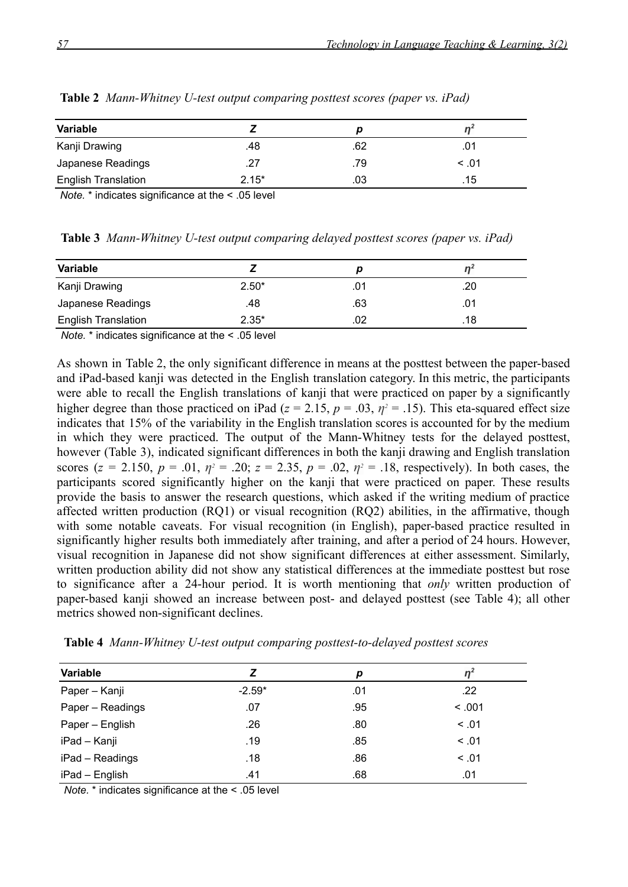| <b>Variable</b>            |         |     |        |
|----------------------------|---------|-----|--------|
| Kanji Drawing              | .48     | .62 | .01    |
| Japanese Readings          | .27     | .79 | < 0.01 |
| <b>English Translation</b> | $2.15*$ | .03 | .15    |

**Table 2** *Mann-Whitney U-test output comparing posttest scores (paper vs. iPad)*

*Note.* \* indicates significance at the < .05 level

**Table 3** *Mann-Whitney U-test output comparing delayed posttest scores (paper vs. iPad)*

| Variable                   |         | IJ  |     |
|----------------------------|---------|-----|-----|
| Kanji Drawing              | $2.50*$ | .01 | .20 |
| Japanese Readings          | .48     | .63 | .01 |
| <b>English Translation</b> | $2.35*$ | 02  | .18 |

*Note.* \* indicates significance at the < .05 level

As shown in Table 2, the only significant difference in means at the posttest between the paper-based and iPad-based kanji was detected in the English translation category. In this metric, the participants were able to recall the English translations of kanji that were practiced on paper by a significantly higher degree than those practiced on iPad ( $z = 2.15$ ,  $p = .03$ ,  $\eta^2 = .15$ ). This eta-squared effect size indicates that 15% of the variability in the English translation scores is accounted for by the medium in which they were practiced. The output of the Mann-Whitney tests for the delayed posttest, however (Table 3), indicated significant differences in both the kanji drawing and English translation scores ( $z = 2.150$ ,  $p = .01$ ,  $\eta^2 = .20$ ;  $z = 2.35$ ,  $p = .02$ ,  $\eta^2 = .18$ , respectively). In both cases, the participants scored significantly higher on the kanji that were practiced on paper. These results provide the basis to answer the research questions, which asked if the writing medium of practice affected written production (RQ1) or visual recognition (RQ2) abilities, in the affirmative, though with some notable caveats. For visual recognition (in English), paper-based practice resulted in significantly higher results both immediately after training, and after a period of 24 hours. However, visual recognition in Japanese did not show significant differences at either assessment. Similarly, written production ability did not show any statistical differences at the immediate posttest but rose to significance after a 24-hour period. It is worth mentioning that *only* written production of paper-based kanji showed an increase between post- and delayed posttest (see Table 4); all other metrics showed non-significant declines.

| Variable         |          | p   |        |
|------------------|----------|-----|--------|
| Paper - Kanji    | $-2.59*$ | .01 | .22    |
| Paper - Readings | .07      | .95 | < 0.01 |
| Paper - English  | .26      | .80 | < .01  |
| iPad - Kanji     | .19      | .85 | < 0.01 |
| iPad - Readings  | .18      | .86 | < 0.01 |
| iPad - English   | .41      | .68 | .01    |

**Table 4** *Mann-Whitney U-test output comparing posttest-to-delayed posttest scores*

*Note.* \* indicates significance at the < .05 level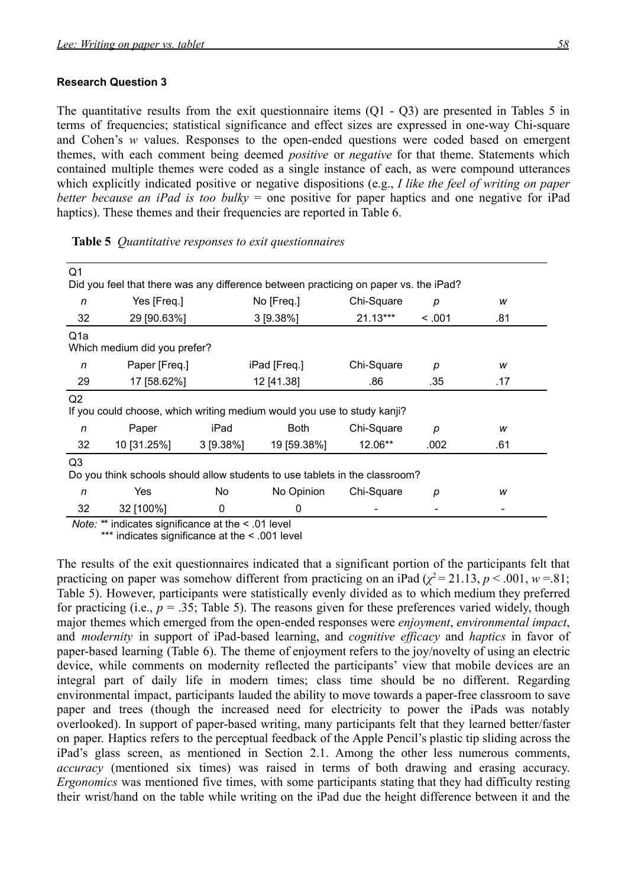#### **Research Question 3**

The quantitative results from the exit questionnaire items  $(O1 - O3)$  are presented in Tables 5 in terms of frequencies; statistical significance and effect sizes are expressed in one-way Chi-square and Cohen's *w* values. Responses to the open-ended questions were coded based on emergent themes, with each comment being deemed *positive* or *negative* for that theme. Statements which contained multiple themes were coded as a single instance of each, as were compound utterances which explicitly indicated positive or negative dispositions (e.g., *I like the feel of writing on paper better because an iPad is too bulky* = one positive for paper haptics and one negative for iPad haptics). These themes and their frequencies are reported in Table 6.

| Q1                                                                                        | Did you feel that there was any difference between practicing on paper vs. the iPad? |             |              |            |        |     |
|-------------------------------------------------------------------------------------------|--------------------------------------------------------------------------------------|-------------|--------------|------------|--------|-----|
| n                                                                                         | Yes [Freq.]                                                                          |             | No [Freq.]   | Chi-Square | р      | w   |
| 32                                                                                        | 29 [90.63%]                                                                          |             | 3 [9.38%]    | $21.13***$ | < 0.01 | .81 |
| Q <sub>1</sub> a                                                                          | Which medium did you prefer?                                                         |             |              |            |        |     |
| n                                                                                         | Paper [Freq.]                                                                        |             | iPad [Freq.] | Chi-Square | p      | W   |
| 29                                                                                        | 17 [58.62%]                                                                          |             | 12 [41.38]   | .86        | .35    | .17 |
| Q <sub>2</sub><br>If you could choose, which writing medium would you use to study kanji? |                                                                                      |             |              |            |        |     |
| n                                                                                         | Paper                                                                                | iPad        | <b>Both</b>  | Chi-Square | р      | w   |
| 32                                                                                        | 10 [31.25%]                                                                          | $3$ [9.38%] | 19 [59.38%]  | 12.06**    | .002   | .61 |
| Q3                                                                                        | Do you think schools should allow students to use tablets in the classroom?          |             |              |            |        |     |
| n                                                                                         | Yes                                                                                  | No.         | No Opinion   | Chi-Square | р      | W   |
| 32                                                                                        | 32 [100%]                                                                            | 0           | 0            |            |        |     |

*Note: \**\* indicates significance at the < .01 level

\*\*\* indicates significance at the < .001 level

The results of the exit questionnaires indicated that a significant portion of the participants felt that practicing on paper was somehow different from practicing on an iPad ( $\chi^2$  = 21.13, *p* < .001, *w* = .81; Table 5). However, participants were statistically evenly divided as to which medium they preferred for practicing (i.e.,  $p = 0.35$ ; Table 5). The reasons given for these preferences varied widely, though major themes which emerged from the open-ended responses were *enjoyment*, *environmental impact*, and *modernity* in support of iPad-based learning, and *cognitive efficacy* and *haptics* in favor of paper-based learning (Table 6). The theme of enjoyment refers to the joy/novelty of using an electric device, while comments on modernity reflected the participants' view that mobile devices are an integral part of daily life in modern times; class time should be no different. Regarding environmental impact, participants lauded the ability to move towards a paper-free classroom to save paper and trees (though the increased need for electricity to power the iPads was notably overlooked). In support of paper-based writing, many participants felt that they learned better/faster on paper. Haptics refers to the perceptual feedback of the Apple Pencil's plastic tip sliding across the iPad's glass screen, as mentioned in Section 2.1. Among the other less numerous comments, *accuracy* (mentioned six times) was raised in terms of both drawing and erasing accuracy. *Ergonomics* was mentioned five times, with some participants stating that they had difficulty resting their wrist/hand on the table while writing on the iPad due the height difference between it and the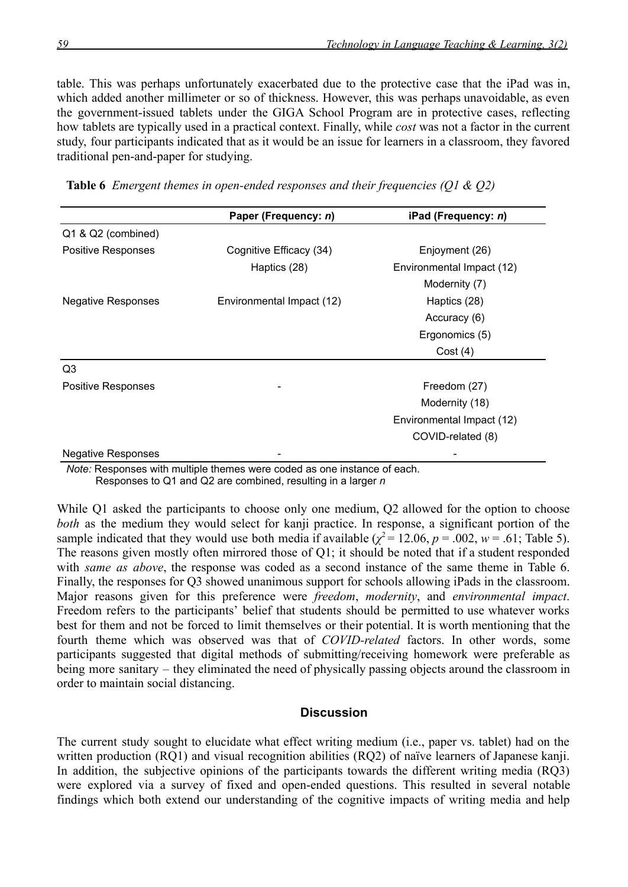table. This was perhaps unfortunately exacerbated due to the protective case that the iPad was in, which added another millimeter or so of thickness. However, this was perhaps unavoidable, as even the government-issued tablets under the GIGA School Program are in protective cases, reflecting how tablets are typically used in a practical context. Finally, while *cost* was not a factor in the current study, four participants indicated that as it would be an issue for learners in a classroom, they favored traditional pen-and-paper for studying.

|  |  |  |  | <b>Table 6</b> Emergent themes in open-ended responses and their frequencies (Q1 & Q2) |  |  |
|--|--|--|--|----------------------------------------------------------------------------------------|--|--|
|--|--|--|--|----------------------------------------------------------------------------------------|--|--|

|                           | Paper (Frequency: n)      | iPad (Frequency: n)       |
|---------------------------|---------------------------|---------------------------|
| Q1 & Q2 (combined)        |                           |                           |
| Positive Responses        | Cognitive Efficacy (34)   | Enjoyment (26)            |
|                           | Haptics (28)              | Environmental Impact (12) |
|                           |                           | Modernity (7)             |
| <b>Negative Responses</b> | Environmental Impact (12) | Haptics (28)              |
|                           |                           | Accuracy (6)              |
|                           |                           | Ergonomics (5)            |
|                           |                           | Cost(4)                   |
| Q <sub>3</sub>            |                           |                           |
| <b>Positive Responses</b> |                           | Freedom (27)              |
|                           |                           | Modernity (18)            |
|                           |                           | Environmental Impact (12) |
|                           |                           | COVID-related (8)         |
| <b>Negative Responses</b> |                           |                           |

*Note:* Responses with multiple themes were coded as one instance of each. Responses to Q1 and Q2 are combined, resulting in a larger *n*

While Q1 asked the participants to choose only one medium, Q2 allowed for the option to choose *both* as the medium they would select for kanji practice. In response, a significant portion of the sample indicated that they would use both media if available  $(\chi^2 = 12.06, p = .002, w = .61;$  Table 5). The reasons given mostly often mirrored those of Q1; it should be noted that if a student responded with *same as above*, the response was coded as a second instance of the same theme in Table 6. Finally, the responses for Q3 showed unanimous support for schools allowing iPads in the classroom. Major reasons given for this preference were *freedom*, *modernity*, and *environmental impact*. Freedom refers to the participants' belief that students should be permitted to use whatever works best for them and not be forced to limit themselves or their potential. It is worth mentioning that the fourth theme which was observed was that of *COVID-related* factors. In other words, some participants suggested that digital methods of submitting/receiving homework were preferable as being more sanitary – they eliminated the need of physically passing objects around the classroom in order to maintain social distancing.

#### **Discussion**

The current study sought to elucidate what effect writing medium (i.e., paper vs. tablet) had on the written production (RO1) and visual recognition abilities (RO2) of naïve learners of Japanese kanji. In addition, the subjective opinions of the participants towards the different writing media (RQ3) were explored via a survey of fixed and open-ended questions. This resulted in several notable findings which both extend our understanding of the cognitive impacts of writing media and help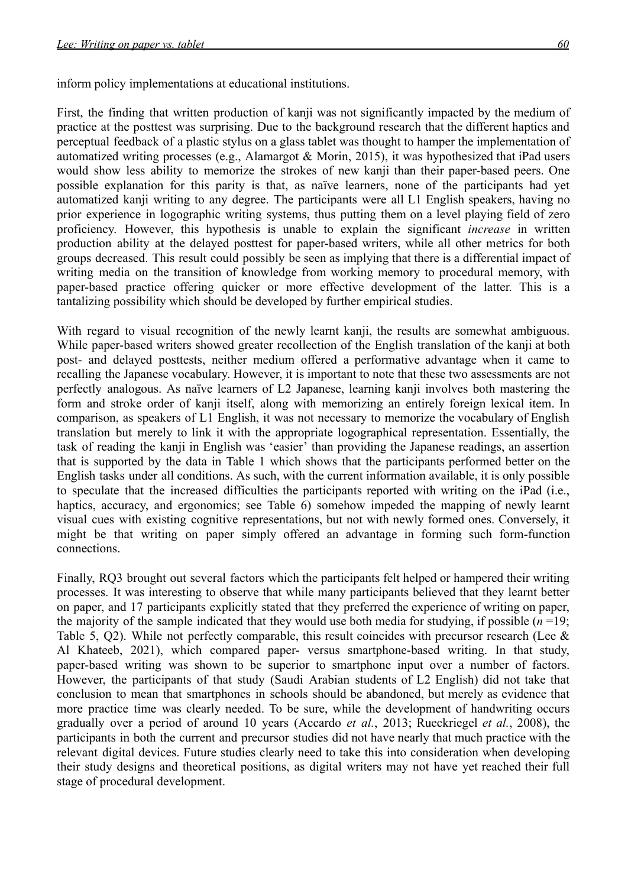inform policy implementations at educational institutions.

First, the finding that written production of kanji was not significantly impacted by the medium of practice at the posttest was surprising. Due to the background research that the different haptics and perceptual feedback of a plastic stylus on a glass tablet was thought to hamper the implementation of automatized writing processes (e.g., Alamargot & Morin, 2015), it was hypothesized that iPad users would show less ability to memorize the strokes of new kanji than their paper-based peers. One possible explanation for this parity is that, as naïve learners, none of the participants had yet automatized kanji writing to any degree. The participants were all L1 English speakers, having no prior experience in logographic writing systems, thus putting them on a level playing field of zero proficiency. However, this hypothesis is unable to explain the significant *increase* in written production ability at the delayed posttest for paper-based writers, while all other metrics for both groups decreased. This result could possibly be seen as implying that there is a differential impact of writing media on the transition of knowledge from working memory to procedural memory, with paper-based practice offering quicker or more effective development of the latter. This is a tantalizing possibility which should be developed by further empirical studies.

With regard to visual recognition of the newly learnt kanji, the results are somewhat ambiguous. While paper-based writers showed greater recollection of the English translation of the kanji at both post- and delayed posttests, neither medium offered a performative advantage when it came to recalling the Japanese vocabulary. However, it is important to note that these two assessments are not perfectly analogous. As naïve learners of L2 Japanese, learning kanji involves both mastering the form and stroke order of kanji itself, along with memorizing an entirely foreign lexical item. In comparison, as speakers of L1 English, it was not necessary to memorize the vocabulary of English translation but merely to link it with the appropriate logographical representation. Essentially, the task of reading the kanji in English was 'easier' than providing the Japanese readings, an assertion that is supported by the data in Table 1 which shows that the participants performed better on the English tasks under all conditions. As such, with the current information available, it is only possible to speculate that the increased difficulties the participants reported with writing on the iPad (i.e., haptics, accuracy, and ergonomics; see Table 6) somehow impeded the mapping of newly learnt visual cues with existing cognitive representations, but not with newly formed ones. Conversely, it might be that writing on paper simply offered an advantage in forming such form-function connections.

Finally, RQ3 brought out several factors which the participants felt helped or hampered their writing processes. It was interesting to observe that while many participants believed that they learnt better on paper, and 17 participants explicitly stated that they preferred the experience of writing on paper, the majority of the sample indicated that they would use both media for studying, if possible  $(n=19)$ ; Table 5, Q2). While not perfectly comparable, this result coincides with precursor research (Lee & Al Khateeb, 2021), which compared paper- versus smartphone-based writing. In that study, paper-based writing was shown to be superior to smartphone input over a number of factors. However, the participants of that study (Saudi Arabian students of L2 English) did not take that conclusion to mean that smartphones in schools should be abandoned, but merely as evidence that more practice time was clearly needed. To be sure, while the development of handwriting occurs gradually over a period of around 10 years (Accardo *et al.*, 2013; Rueckriegel *et al.*, 2008), the participants in both the current and precursor studies did not have nearly that much practice with the relevant digital devices. Future studies clearly need to take this into consideration when developing their study designs and theoretical positions, as digital writers may not have yet reached their full stage of procedural development.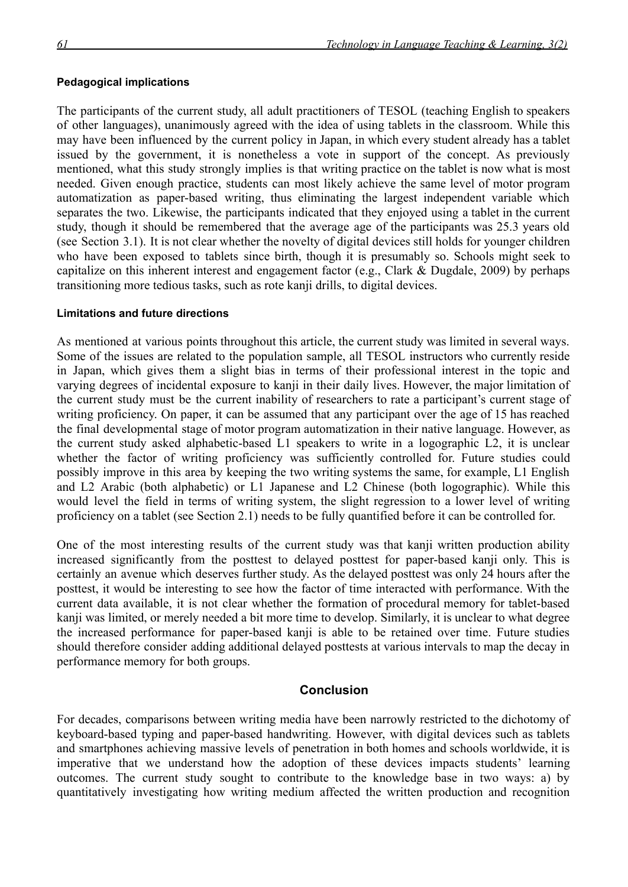#### **Pedagogical implications**

The participants of the current study, all adult practitioners of TESOL (teaching English to speakers of other languages), unanimously agreed with the idea of using tablets in the classroom. While this may have been influenced by the current policy in Japan, in which every student already has a tablet issued by the government, it is nonetheless a vote in support of the concept. As previously mentioned, what this study strongly implies is that writing practice on the tablet is now what is most needed. Given enough practice, students can most likely achieve the same level of motor program automatization as paper-based writing, thus eliminating the largest independent variable which separates the two. Likewise, the participants indicated that they enjoyed using a tablet in the current study, though it should be remembered that the average age of the participants was 25.3 years old (see Section 3.1). It is not clear whether the novelty of digital devices still holds for younger children who have been exposed to tablets since birth, though it is presumably so. Schools might seek to capitalize on this inherent interest and engagement factor (e.g., Clark & Dugdale, 2009) by perhaps transitioning more tedious tasks, such as rote kanji drills, to digital devices.

#### **Limitations and future directions**

As mentioned at various points throughout this article, the current study was limited in several ways. Some of the issues are related to the population sample, all TESOL instructors who currently reside in Japan, which gives them a slight bias in terms of their professional interest in the topic and varying degrees of incidental exposure to kanji in their daily lives. However, the major limitation of the current study must be the current inability of researchers to rate a participant's current stage of writing proficiency. On paper, it can be assumed that any participant over the age of 15 has reached the final developmental stage of motor program automatization in their native language. However, as the current study asked alphabetic-based L1 speakers to write in a logographic L2, it is unclear whether the factor of writing proficiency was sufficiently controlled for. Future studies could possibly improve in this area by keeping the two writing systems the same, for example, L1 English and L2 Arabic (both alphabetic) or L1 Japanese and L2 Chinese (both logographic). While this would level the field in terms of writing system, the slight regression to a lower level of writing proficiency on a tablet (see Section 2.1) needs to be fully quantified before it can be controlled for.

One of the most interesting results of the current study was that kanji written production ability increased significantly from the posttest to delayed posttest for paper-based kanji only. This is certainly an avenue which deserves further study. As the delayed posttest was only 24 hours after the posttest, it would be interesting to see how the factor of time interacted with performance. With the current data available, it is not clear whether the formation of procedural memory for tablet-based kanji was limited, or merely needed a bit more time to develop. Similarly, it is unclear to what degree the increased performance for paper-based kanji is able to be retained over time. Future studies should therefore consider adding additional delayed posttests at various intervals to map the decay in performance memory for both groups.

#### **Conclusion**

For decades, comparisons between writing media have been narrowly restricted to the dichotomy of keyboard-based typing and paper-based handwriting. However, with digital devices such as tablets and smartphones achieving massive levels of penetration in both homes and schools worldwide, it is imperative that we understand how the adoption of these devices impacts students' learning outcomes. The current study sought to contribute to the knowledge base in two ways: a) by quantitatively investigating how writing medium affected the written production and recognition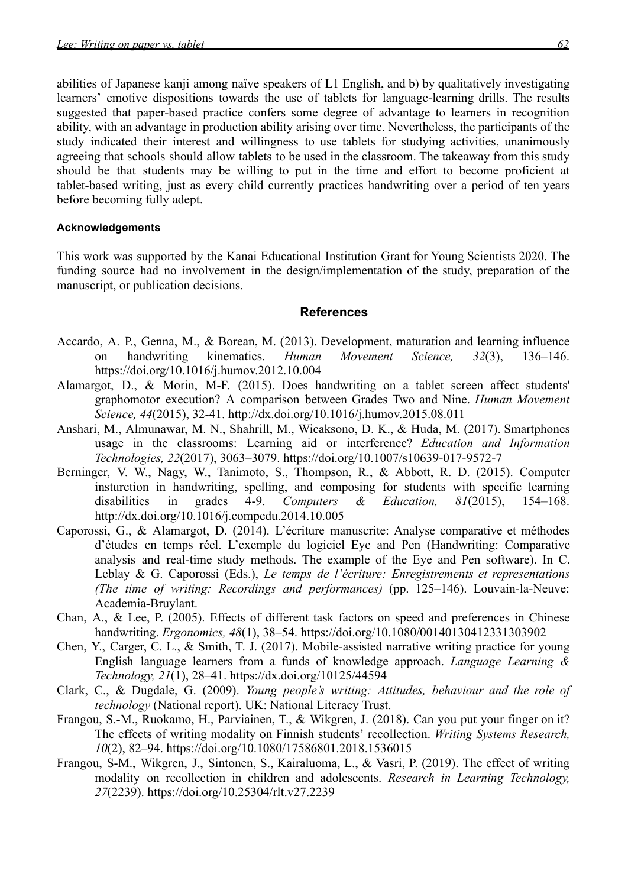abilities of Japanese kanji among naïve speakers of L1 English, and b) by qualitatively investigating learners' emotive dispositions towards the use of tablets for language-learning drills. The results suggested that paper-based practice confers some degree of advantage to learners in recognition ability, with an advantage in production ability arising over time. Nevertheless, the participants of the study indicated their interest and willingness to use tablets for studying activities, unanimously agreeing that schools should allow tablets to be used in the classroom. The takeaway from this study should be that students may be willing to put in the time and effort to become proficient at tablet-based writing, just as every child currently practices handwriting over a period of ten years before becoming fully adept.

#### **Acknowledgements**

This work was supported by the Kanai Educational Institution Grant for Young Scientists 2020. The funding source had no involvement in the design/implementation of the study, preparation of the manuscript, or publication decisions.

#### **References**

- Accardo, A. P., Genna, M., & Borean, M. (2013). Development, maturation and learning influence on handwriting kinematics. *Human Movement Science, 32*(3), 136–146. <https://doi.org/10.1016/j.humov.2012.10.004>
- Alamargot, D., & Morin, M-F. (2015). Does handwriting on a tablet screen affect students' graphomotor execution? A comparison between Grades Two and Nine. *Human Movement Science, 44*(2015), 32-41. <http://dx.doi.org/10.1016/j.humov.2015.08.011>
- Anshari, M., Almunawar, M. N., Shahrill, M., Wicaksono, D. K., & Huda, M. (2017). Smartphones usage in the classrooms: Learning aid or interference? *Education and Information Technologies, 22*(2017), 3063–3079. <https://doi.org/10.1007/s10639-017-9572-7>
- Berninger, V. W., Nagy, W., Tanimoto, S., Thompson, R., & Abbott, R. D. (2015). Computer insturction in handwriting, spelling, and composing for students with specific learning disabilities in grades 4-9. *Computers & Education, 81*(2015), 154–168. <http://dx.doi.org/10.1016/j.compedu.2014.10.005>
- Caporossi, G., & Alamargot, D. (2014). L'écriture manuscrite: Analyse comparative et méthodes d'études en temps réel. L'exemple du logiciel Eye and Pen (Handwriting: Comparative analysis and real-time study methods. The example of the Eye and Pen software). In C. Leblay & G. Caporossi (Eds.), *Le temps de l'écriture: Enregistrements et representations (The time of writing: Recordings and performances)* (pp. 125–146). Louvain-la-Neuve: Academia-Bruylant.
- Chan, A., & Lee, P. (2005). Effects of different task factors on speed and preferences in Chinese handwriting. *Ergonomics, 48*(1), 38–54. <https://doi.org/10.1080/00140130412331303902>
- Chen, Y., Carger, C. L., & Smith, T. J. (2017). Mobile-assisted narrative writing practice for young English language learners from a funds of knowledge approach. *Language Learning & Technology, 21*(1), 28–41. <https://dx.doi.org/10125/44594>
- Clark, C., & Dugdale, G. (2009). *Young people's writing: Attitudes, behaviour and the role of technology* (National report). UK: National Literacy Trust.
- Frangou, S.-M., Ruokamo, H., Parviainen, T., & Wikgren, J. (2018). Can you put your finger on it? The effects of writing modality on Finnish students' recollection. *Writing Systems Research, 10*(2), 82–94. <https://doi.org/10.1080/17586801.2018.1536015>
- Frangou, S-M., Wikgren, J., Sintonen, S., Kairaluoma, L., & Vasri, P. (2019). The effect of writing modality on recollection in children and adolescents. *Research in Learning Technology, 27*(2239). <https://doi.org/10.25304/rlt.v27.2239>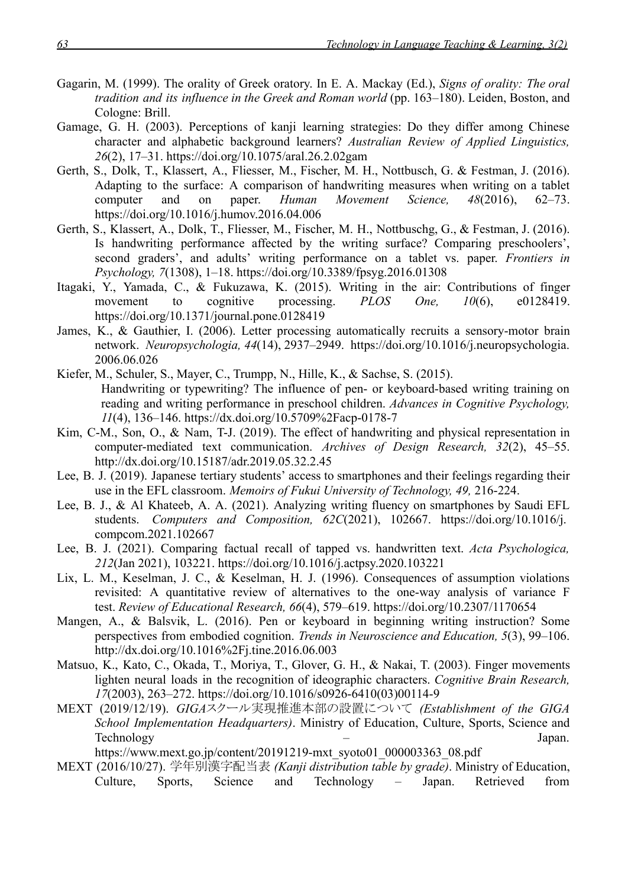- Gagarin, M. (1999). The orality of Greek oratory. In E. A. Mackay (Ed.), *Signs of orality: The oral tradition and its influence in the Greek and Roman world* (pp. 163–180). Leiden, Boston, and Cologne: Brill.
- Gamage, G. H. (2003). Perceptions of kanji learning strategies: Do they differ among Chinese character and alphabetic background learners? *Australian Review of Applied Linguistics, 26*(2), 17–31. <https://doi.org/10.1075/aral.26.2.02gam>
- Gerth, S., Dolk, T., Klassert, A., Fliesser, M., Fischer, M. H., Nottbusch, G. & Festman, J. (2016). Adapting to the surface: A comparison of handwriting measures when writing on a tablet computer and on paper. *Human Movement Science, 48*(2016), 62–73. <https://doi.org/10.1016/j.humov.2016.04.006>
- Gerth, S., Klassert, A., Dolk, T., Fliesser, M., Fischer, M. H., Nottbuschg, G., & Festman, J. (2016). Is handwriting performance affected by the writing surface? Comparing preschoolers', second graders', and adults' writing performance on a tablet vs. paper. *Frontiers in Psychology, 7*(1308), 1–18. <https://doi.org/10.3389/fpsyg.2016.01308>
- Itagaki, Y., Yamada, C., & Fukuzawa, K. (2015). Writing in the air: Contributions of finger movement to cognitive processing. *PLOS One, 10*(6), e0128419. <https://doi.org/10.1371/journal.pone.0128419>
- James, K., & Gauthier, I. (2006). Letter processing automatically recruits a sensory-motor brain network. *Neuropsychologia, 44*(14), 2937–2949. [https://doi.org/10.1016/j.neuropsychologia.](https://doi.org/10.1016/j.neuropsychologia.2006.06.026) [2006.06.026](https://doi.org/10.1016/j.neuropsychologia.2006.06.026)
- Kiefer, M., Schuler, S., Mayer, C., Trumpp, N., Hille, K., & Sachse, S. (2015). Handwriting or typewriting? The influence of pen- or keyboard-based writing training on reading and writing performance in preschool children. *Advances in Cognitive Psychology, 11*(4), 136–146. <https://dx.doi.org/10.5709%2Facp-0178-7>
- Kim, C-M., Son, O., & Nam, T-J. (2019). The effect of handwriting and physical representation in computer-mediated text communication. *Archives of Design Research, 32*(2), 45–55. <http://dx.doi.org/10.15187/adr.2019.05.32.2.45>
- Lee, B. J. (2019). Japanese tertiary students' access to smartphones and their feelings regarding their use in the EFL classroom. *Memoirs of Fukui University of Technology, 49,* 216-224.
- Lee, B. J., & Al Khateeb, A. A. (2021). Analyzing writing fluency on smartphones by Saudi EFL students. *Computers and Composition, 62C*(2021), 102667. [https://doi.org/10.1016/j.](https://doi.org/10.1016/j.compcom.2021.102667) [compcom.2021.102667](https://doi.org/10.1016/j.compcom.2021.102667)
- Lee, B. J. (2021). Comparing factual recall of tapped vs. handwritten text. *Acta Psychologica, 212*(Jan 2021), 103221. <https://doi.org/10.1016/j.actpsy.2020.103221>
- Lix, L. M., Keselman, J. C., & Keselman, H. J. (1996). Consequences of assumption violations revisited: A quantitative review of alternatives to the one-way analysis of variance F test. *Review of Educational Research, 66*(4), 579–619. <https://doi.org/10.2307/1170654>
- Mangen, A., & Balsvik, L. (2016). Pen or keyboard in beginning writing instruction? Some perspectives from embodied cognition. *Trends in Neuroscience and Education, 5*(3), 99–106. <http://dx.doi.org/10.1016%2Fj.tine.2016.06.003>
- Matsuo, K., Kato, C., Okada, T., Moriya, T., Glover, G. H., & Nakai, T. (2003). Finger movements lighten neural loads in the recognition of ideographic characters. *Cognitive Brain Research, 17*(2003), 263–272. [https://doi.org/10.1016/s0926-6410\(03\)00114-9](https://doi.org/10.1016/s0926-6410(03)00114-9)
- MEXT (2019/12/19). *GIGA*スクール実現推進本部の設置について *(Establishment of the GIGA School Implementation Headquarters)*. Ministry of Education, Culture, Sports, Science and Technology – Japan.

[https://www.mext.go.jp/content/20191219-mxt\\_syoto01\\_000003363\\_08.pdf](https://www.mext.go.jp/content/20191219-mxt_syoto01_000003363_08.pdf)

MEXT (2016/10/27). 学年別漢字配当表 *(Kanji distribution table by grade)*. Ministry of Education, Culture, Sports, Science and Technology – Japan. Retrieved from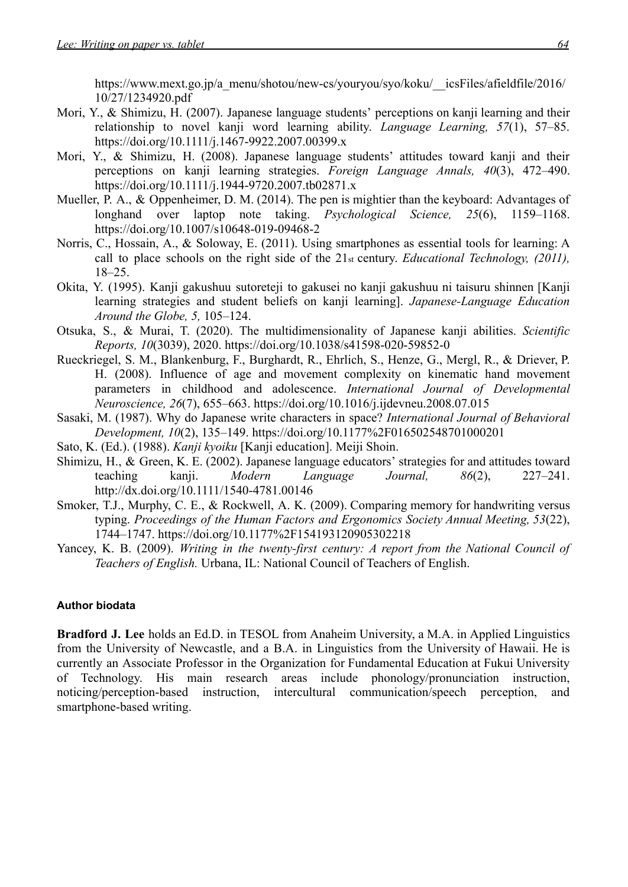[https://www.mext.go.jp/a\\_menu/shotou/new-cs/youryou/syo/koku/\\_\\_icsFiles/afieldfile/2016/](https://www.mext.go.jp/a_menu/shotou/new-cs/youryou/syo/koku/__icsFiles/afieldfile/2016/10/27/1234920.pdf) [10/27/1234920.pdf](https://www.mext.go.jp/a_menu/shotou/new-cs/youryou/syo/koku/__icsFiles/afieldfile/2016/10/27/1234920.pdf)

- Mori, Y., & Shimizu, H. (2007). Japanese language students' perceptions on kanji learning and their relationship to novel kanji word learning ability. *Language Learning, 57*(1), 57–85. <https://doi.org/10.1111/j.1467-9922.2007.00399.x>
- Mori, Y., & Shimizu, H. (2008). Japanese language students' attitudes toward kanji and their perceptions on kanji learning strategies. *Foreign Language Annals, 40*(3), 472–490. <https://doi.org/10.1111/j.1944-9720.2007.tb02871.x>
- Mueller, P. A., & Oppenheimer, D. M. (2014). The pen is mightier than the keyboard: Advantages of longhand over laptop note taking. *Psychological Science, 25*(6), 1159–1168. <https://doi.org/10.1007/s10648-019-09468-2>
- Norris, C., Hossain, A., & Soloway, E. (2011). Using smartphones as essential tools for learning: A call to place schools on the right side of the 21st century. *Educational Technology, (2011),* 18–25.
- Okita, Y. (1995). Kanji gakushuu sutoreteji to gakusei no kanji gakushuu ni taisuru shinnen [Kanji learning strategies and student beliefs on kanji learning]. *Japanese-Language Education Around the Globe, 5,* 105–124.
- Otsuka, S., & Murai, T. (2020). The multidimensionality of Japanese kanji abilities. *Scientific Reports, 10*(3039), 2020. <https://doi.org/10.1038/s41598-020-59852-0>
- Rueckriegel, S. M., Blankenburg, F., Burghardt, R., Ehrlich, S., Henze, G., Mergl, R., & Driever, P. H. (2008). Influence of age and movement complexity on kinematic hand movement parameters in childhood and adolescence. *International Journal of Developmental Neuroscience, 26*(7), 655–663. <https://doi.org/10.1016/j.ijdevneu.2008.07.015>
- Sasaki, M. (1987). Why do Japanese write characters in space? *International Journal of Behavioral Development, 10*(2), 135–149. <https://doi.org/10.1177%2F016502548701000201>
- Sato, K. (Ed.). (1988). *Kanji kyoiku* [Kanji education]. Meiji Shoin.
- Shimizu, H., & Green, K. E. (2002). Japanese language educators' strategies for and attitudes toward teaching kanji. *Modern Language Journal, 86*(2), 227–241. <http://dx.doi.org/10.1111/1540-4781.00146>
- Smoker, T.J., Murphy, C. E., & Rockwell, A. K. (2009). Comparing memory for handwriting versus typing. *Proceedings of the Human Factors and Ergonomics Society Annual Meeting, 53*(22), 1744–1747. <https://doi.org/10.1177%2F154193120905302218>
- Yancey, K. B. (2009). *Writing in the twenty-first century: A report from the National Council of Teachers of English.* Urbana, IL: National Council of Teachers of English.

#### **Author biodata**

**Bradford J. Lee** holds an Ed.D. in TESOL from Anaheim University, a M.A. in Applied Linguistics from the University of Newcastle, and a B.A. in Linguistics from the University of Hawaii. He is currently an Associate Professor in the Organization for Fundamental Education at Fukui University of Technology. His main research areas include phonology/pronunciation instruction, noticing/perception-based instruction, intercultural communication/speech perception, and smartphone-based writing.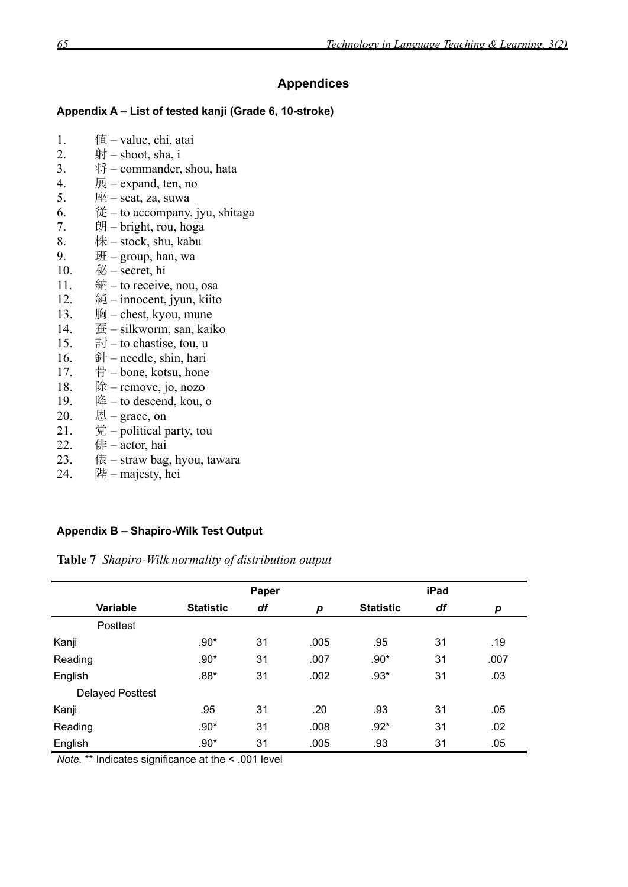## **Appendices**

#### **Appendix A – List of tested kanji (Grade 6, 10-stroke)**

- 1.  $q\equiv -\text{value}, \text{chi}, \text{atai}$
- 2.  $\#$  shoot, sha, i
- 3. 将 commander, shou, hata
- 4.  $\mathbb{R}$  expand, ten, no
- 5.  $\mathbb{E}$  seat, za, suwa
- 6.  $\mathcal{E}$  to accompany, jyu, shitaga
- $7.$  朗 bright, rou, hoga
- $8.$  株 stock, shu, kabu
- 9.  $\text{H}$  group, han, wa
- 10.  $\mathcal{W}$  secret, hi
- 11.  $\hat{m}$  to receive, nou, osa
- 12.  $\hat{\mathbb{A}}$  innocent, jyun, kiito
- 13. 胸 chest, kyou, mune
- 14. 蚕 silkworm, san, kaiko
- 15. **h** $\exists$  + to chastise, tou, u
- 16.  $\hat{\mathbb{H}}$  needle, shin, hari
- 17. 骨 bone, kotsu, hone
- 18.  $\Re$  remove, jo, nozo
- 19.  $\&$  to descend, kou, o
- $20.$  图 grace, on
- 21.  $\circ$  党 political party, tou
- 22. 俳  $\arctan \n$ hai
- $23.$  俵 straw bag, hyou, tawara
- 24. 陛 majesty, hei

## **Appendix B – Shapiro-Wilk Test Output**

**Table 7** *Shapiro-Wilk normality of distribution output*

|                         | Paper            |    |      | iPad             |    |      |
|-------------------------|------------------|----|------|------------------|----|------|
| <b>Variable</b>         | <b>Statistic</b> | df | p    | <b>Statistic</b> | df | р    |
| Posttest                |                  |    |      |                  |    |      |
| Kanji                   | $.90*$           | 31 | .005 | .95              | 31 | .19  |
| Reading                 | $.90*$           | 31 | .007 | $.90*$           | 31 | .007 |
| English                 | $.88*$           | 31 | .002 | $.93*$           | 31 | .03  |
| <b>Delayed Posttest</b> |                  |    |      |                  |    |      |
| Kanji                   | .95              | 31 | .20  | .93              | 31 | .05  |
| Reading                 | $.90*$           | 31 | .008 | $.92*$           | 31 | .02  |
| English                 | $.90*$           | 31 | .005 | .93              | 31 | .05  |

*Note.* \*\* Indicates significance at the < .001 level